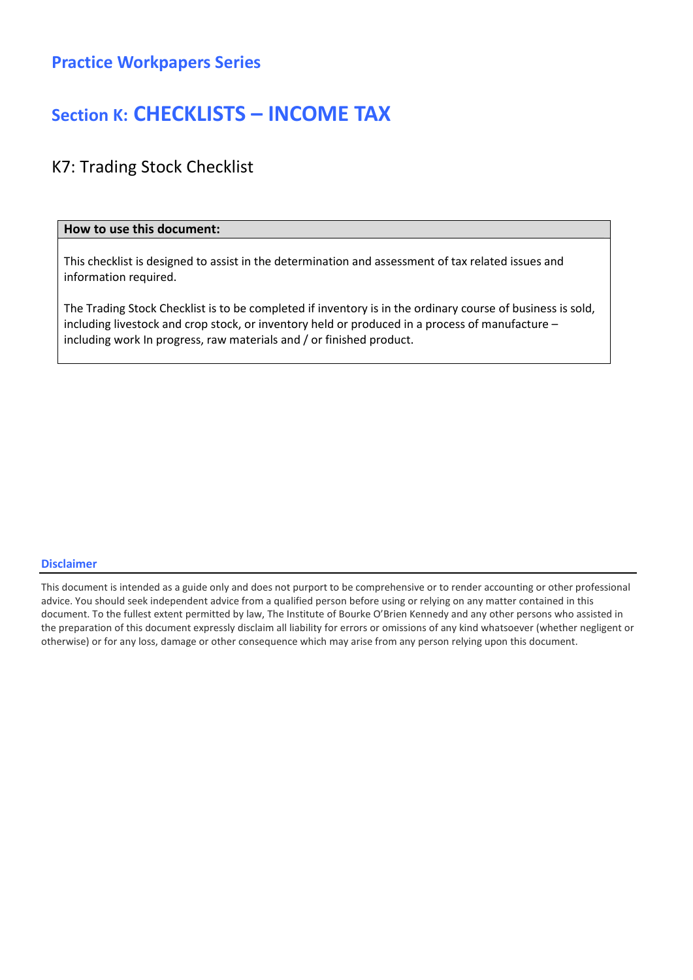### Practice Workpapers Series

## Section K: CHECKLISTS – INCOME TAX

### K7: Trading Stock Checklist

#### How to use this document:

This checklist is designed to assist in the determination and assessment of tax related issues and information required.

The Trading Stock Checklist is to be completed if inventory is in the ordinary course of business is sold, including livestock and crop stock, or inventory held or produced in a process of manufacture – including work In progress, raw materials and / or finished product.

#### Disclaimer

This document is intended as a guide only and does not purport to be comprehensive or to render accounting or other professional advice. You should seek independent advice from a qualified person before using or relying on any matter contained in this document. To the fullest extent permitted by law, The Institute of Bourke O'Brien Kennedy and any other persons who assisted in the preparation of this document expressly disclaim all liability for errors or omissions of any kind whatsoever (whether negligent or otherwise) or for any loss, damage or other consequence which may arise from any person relying upon this document.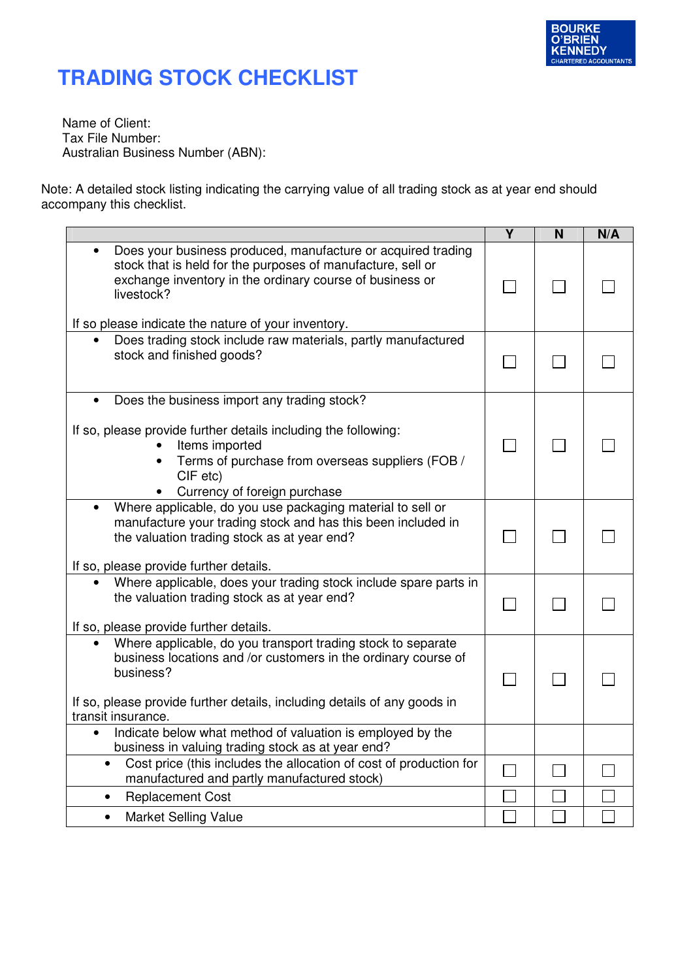

## **TRADING STOCK CHECKLIST**

Name of Client: Tax File Number: Australian Business Number (ABN):

Note: A detailed stock listing indicating the carrying value of all trading stock as at year end should accompany this checklist.

|                                                                                                                                                                                                                         | $\overline{\mathsf{Y}}$ | $\overline{\mathsf{N}}$ | N/A |
|-------------------------------------------------------------------------------------------------------------------------------------------------------------------------------------------------------------------------|-------------------------|-------------------------|-----|
| Does your business produced, manufacture or acquired trading<br>stock that is held for the purposes of manufacture, sell or<br>exchange inventory in the ordinary course of business or<br>livestock?                   |                         |                         |     |
| If so please indicate the nature of your inventory.                                                                                                                                                                     |                         |                         |     |
| Does trading stock include raw materials, partly manufactured<br>$\bullet$<br>stock and finished goods?                                                                                                                 |                         |                         |     |
| Does the business import any trading stock?<br>$\bullet$                                                                                                                                                                |                         |                         |     |
| If so, please provide further details including the following:<br>Items imported<br>Terms of purchase from overseas suppliers (FOB /<br>$\bullet$<br>CIF etc)<br>Currency of foreign purchase                           |                         |                         |     |
| Where applicable, do you use packaging material to sell or<br>manufacture your trading stock and has this been included in<br>the valuation trading stock as at year end?                                               |                         |                         |     |
| If so, please provide further details.<br>Where applicable, does your trading stock include spare parts in                                                                                                              |                         |                         |     |
| the valuation trading stock as at year end?<br>If so, please provide further details.                                                                                                                                   |                         |                         |     |
| Where applicable, do you transport trading stock to separate<br>business locations and /or customers in the ordinary course of<br>business?<br>If so, please provide further details, including details of any goods in |                         |                         |     |
| transit insurance.                                                                                                                                                                                                      |                         |                         |     |
| Indicate below what method of valuation is employed by the<br>business in valuing trading stock as at year end?                                                                                                         |                         |                         |     |
| Cost price (this includes the allocation of cost of production for<br>manufactured and partly manufactured stock)                                                                                                       |                         |                         |     |
| <b>Replacement Cost</b><br>$\bullet$                                                                                                                                                                                    |                         |                         |     |
| <b>Market Selling Value</b><br>$\bullet$                                                                                                                                                                                |                         |                         |     |